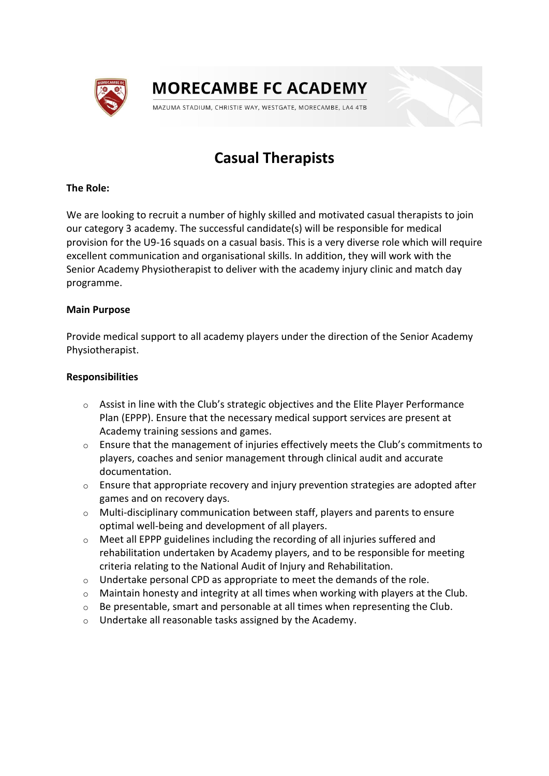

# **MORECAMBE FC ACADEMY**

MAZUMA STADIUM, CHRISTIE WAY, WESTGATE, MORECAMBE, LA4 4TB

# **Casual Therapists**

# **The Role:**

We are looking to recruit a number of highly skilled and motivated casual therapists to join our category 3 academy. The successful candidate(s) will be responsible for medical provision for the U9-16 squads on a casual basis. This is a very diverse role which will require excellent communication and organisational skills. In addition, they will work with the Senior Academy Physiotherapist to deliver with the academy injury clinic and match day programme.

# **Main Purpose**

Provide medical support to all academy players under the direction of the Senior Academy Physiotherapist.

# **Responsibilities**

- o Assist in line with the Club's strategic objectives and the Elite Player Performance Plan (EPPP). Ensure that the necessary medical support services are present at Academy training sessions and games.
- o Ensure that the management of injuries effectively meets the Club's commitments to players, coaches and senior management through clinical audit and accurate documentation.
- o Ensure that appropriate recovery and injury prevention strategies are adopted after games and on recovery days.
- $\circ$  Multi-disciplinary communication between staff, players and parents to ensure optimal well-being and development of all players.
- $\circ$  Meet all EPPP guidelines including the recording of all injuries suffered and rehabilitation undertaken by Academy players, and to be responsible for meeting criteria relating to the National Audit of Injury and Rehabilitation.
- o Undertake personal CPD as appropriate to meet the demands of the role.
- $\circ$  Maintain honesty and integrity at all times when working with players at the Club.
- $\circ$  Be presentable, smart and personable at all times when representing the Club.
- o Undertake all reasonable tasks assigned by the Academy.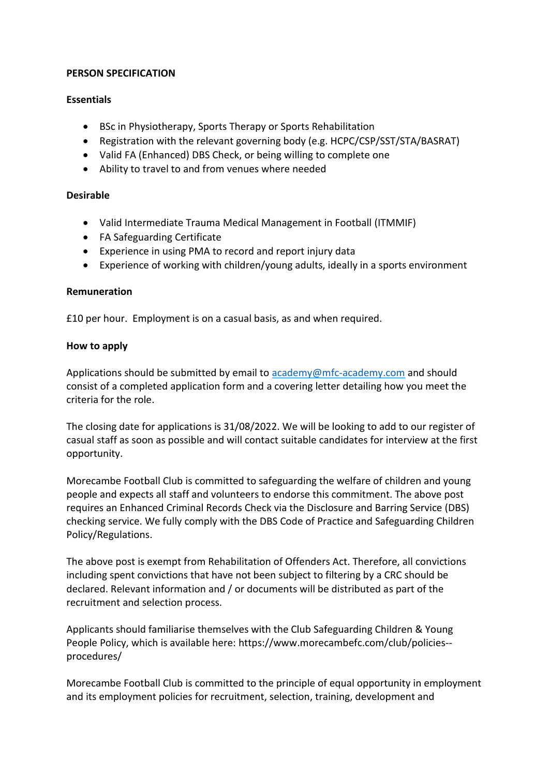# **PERSON SPECIFICATION**

# **Essentials**

- BSc in Physiotherapy, Sports Therapy or Sports Rehabilitation
- Registration with the relevant governing body (e.g. HCPC/CSP/SST/STA/BASRAT)
- Valid FA (Enhanced) DBS Check, or being willing to complete one
- Ability to travel to and from venues where needed

# **Desirable**

- Valid Intermediate Trauma Medical Management in Football (ITMMIF)
- FA Safeguarding Certificate
- Experience in using PMA to record and report injury data
- Experience of working with children/young adults, ideally in a sports environment

# **Remuneration**

£10 per hour. Employment is on a casual basis, as and when required.

# **How to apply**

Applications should be submitted by email to [academy@mfc-academy.com](mailto:academy@mfc-academy.com) and should consist of a completed application form and a covering letter detailing how you meet the criteria for the role.

The closing date for applications is 31/08/2022. We will be looking to add to our register of casual staff as soon as possible and will contact suitable candidates for interview at the first opportunity.

Morecambe Football Club is committed to safeguarding the welfare of children and young people and expects all staff and volunteers to endorse this commitment. The above post requires an Enhanced Criminal Records Check via the Disclosure and Barring Service (DBS) checking service. We fully comply with the DBS Code of Practice and Safeguarding Children Policy/Regulations.

The above post is exempt from Rehabilitation of Offenders Act. Therefore, all convictions including spent convictions that have not been subject to filtering by a CRC should be declared. Relevant information and / or documents will be distributed as part of the recruitment and selection process.

Applicants should familiarise themselves with the Club Safeguarding Children & Young People Policy, which is available here: [https://www.morecambefc.com/club/policies-](https://www.morecambefc.com/club/policies--procedures/) [procedures/](https://www.morecambefc.com/club/policies--procedures/)

Morecambe Football Club is committed to the principle of equal opportunity in employment and its employment policies for recruitment, selection, training, development and